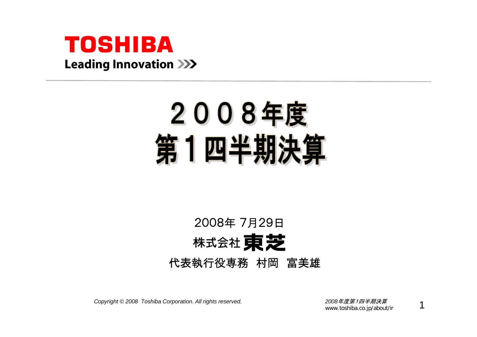

# 2008年度 第1四半期決

## 2008年 7月29日株式会社 東芝 代表執行役専務 村岡 富美雄

*Copyright © <sup>2008</sup> Toshiba Corporation. All rights reserved. <sup>2008</sup>*年度第1四半期決算

www.toshiba.co.jp/about/ir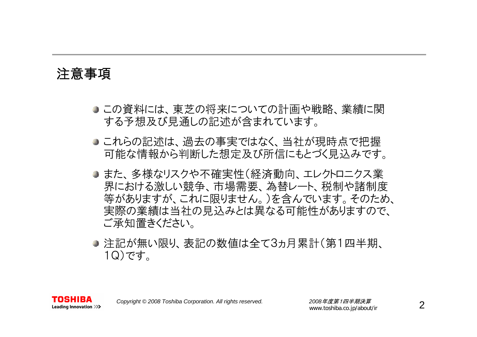#### 注意事項

- この資料には、東芝の将来についての計画や戦略、業績に関 する予想及び見通しの記述が含まれています。
- これらの記述は、過去の事実ではなく、当社が現時点で把握 可能な情報から判断した想定及び所信にもとづく見込みです。
- また、多様なリスクや不確実性(経済動向、エレクトロニクス業 界における激しい競争、市場需要、為替レート、税制や諸制度 等がありますが、これに限りません。)を含んでいます。そのため、 実際の業績は当社の見込みとは異なる可能性がありますので、 ご承知置きください。
- 注記が無い限り、表記の数値は全て3ヵ月累計(第1四半期、 1Q)です。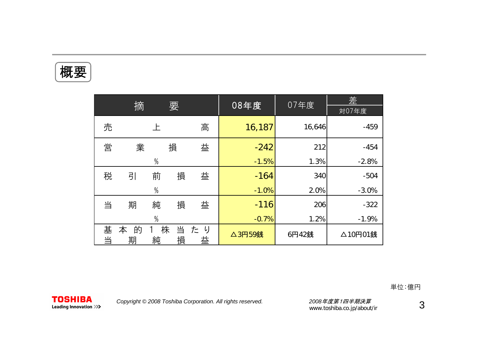概要

|        | 摘           |               | 要      |         | 08年度    | 07年度   | 差<br>対07年度 |
|--------|-------------|---------------|--------|---------|---------|--------|------------|
| 売      |             | 上             |        | 高       | 16,187  | 16,646 | $-459$     |
| 営      | 業           |               | 損      | 益       | $-242$  | 212    | $-454$     |
|        |             | $\%$          |        |         | $-1.5%$ | 1.3%   | $-2.8%$    |
| 税      | 引           | 前             | 損      | 益       | $-164$  | 340    | $-504$     |
|        |             | $\frac{0}{0}$ |        |         | $-1.0%$ | 2.0%   | $-3.0%$    |
| 当      | 期           | 純             | 損      | 益       | $-116$  | 206    | $-322$     |
|        |             | $\%$          |        |         | $-0.7%$ | 1.2%   | $-1.9%$    |
| 基<br>当 | 的<br>本<br>期 | 株<br>純        | 当<br>損 | たり<br>益 | △3円59銭  | 6円42銭  | △10円01銭    |

単位:億円

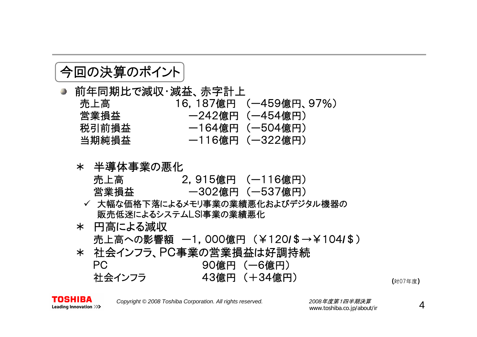### 今回の決算のポイント

● 前年同期比で減収・減益、赤字計上 売上高 16,187億円 (ー459億円、97%) - 営業損益 インプロント 一242億円(一454億円) 税引前損益 - - 164億円 (一504億円) 当期純損益 ー116億円 (ー322億円)

#### \* 半導体事業の悪化

- 売上高 2,915億円 (ー116億円) 営業損益 ー302億円 (ー537億円)
- ✔ 大幅な価格下落によるメモリ事業の業績悪化およびデジタル機器の 販売低迷によるシステムLSI事業の業績悪化
- \* 円高による減収 売上高への影響額 ー1,000億円 (¥120 **/**\$→¥104 **/**\$)
- \* 社会インフラ、PC事業の営業損益は好調持続 PC 90億円 (ー6億円) 社会インフラ 43億円 (+34億円)

(対07年度)

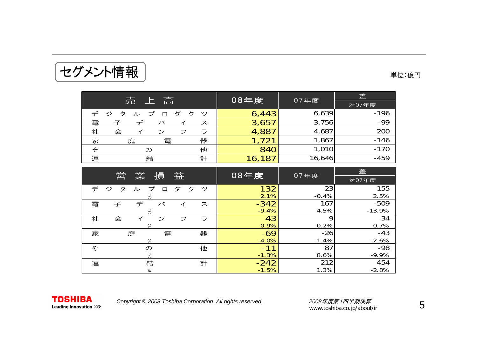| 上<br>対07年度<br>6,639<br>$-196$<br>ダ<br>6,443<br>プ<br>デジ<br>ク<br>タ<br>$\Box$<br>゚゚<br>ル<br>$-99$<br>3,756<br>電<br>3,657<br>子<br>パ<br>ス<br>4,687<br>200<br>4,887<br>社<br>会<br>ラ<br>ン<br>フ | 高<br>売           | 08年度  | 07年度  | 差      |
|----------------------------------------------------------------------------------------------------------------------------------------------------------------------------------------|------------------|-------|-------|--------|
|                                                                                                                                                                                        |                  |       |       |        |
|                                                                                                                                                                                        |                  |       |       |        |
|                                                                                                                                                                                        |                  |       |       |        |
|                                                                                                                                                                                        |                  |       |       |        |
|                                                                                                                                                                                        | 家<br>器<br>庭<br>電 | 1,721 | 1,867 | $-146$ |
| $-170$<br>840<br>1,010<br>そ<br>他                                                                                                                                                       |                  |       |       |        |
| $-459$<br>連<br>計<br>16,646<br>結<br>16,187                                                                                                                                              |                  |       |       |        |

|   | 営                          | 益           | 08年度    | 07年度    | 差        |
|---|----------------------------|-------------|---------|---------|----------|
|   | 業<br>損                     |             |         |         | 対07年度    |
| デ | プ<br>ジ<br>タ<br>ル<br>$\Box$ | ダ<br>ク<br>ッ | 132     | $-23$   | 155      |
|   | %                          |             | 2.1%    | $-0.4%$ | 2.5%     |
| 電 | 子<br>デ<br>バ                | ス<br>イ      | $-342$  | 167     | $-509$   |
|   | $\%$                       |             | $-9.4%$ | 4.5%    | $-13.9%$ |
| 社 | 会<br>ン<br>⊿                | ラ<br>フ      | 43      | 9       | 34       |
|   | %                          |             | 0.9%    | 0.2%    | 0.7%     |
| 家 | 庭                          | 電<br>器      | $-69$   | $-26$   | $-43$    |
|   | %                          |             | $-4.0%$ | $-1.4%$ | $-2.6%$  |
| そ | $\sigma$                   | 他           | $-11$   | 87      | $-98$    |
|   | $\%$                       |             | $-1.3%$ | 8.6%    | $-9.9%$  |
| 連 | 結                          | 計           | $-242$  | 212     | $-454$   |
|   | %                          |             | $-1.5%$ | 1.3%    | $-2.8%$  |

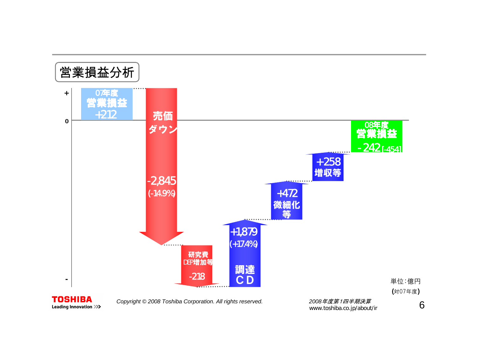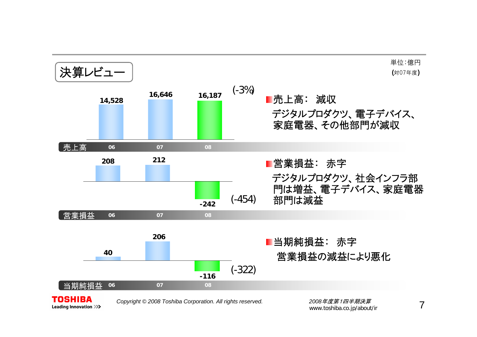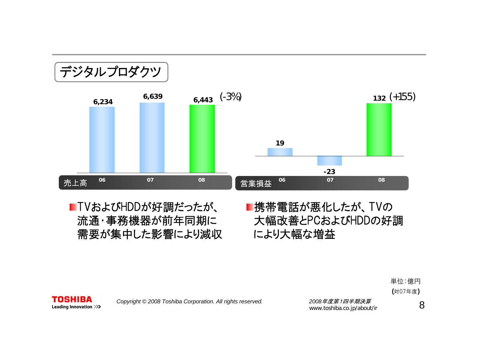

■TVおよびHDDが好調だったが、 流通・事務機器が前年同期に 需要が集中した影響により減収 ■携帯電話が悪化したが、TVの 大幅改善とPCおよびHDDの好調 により大幅な増益





*Copyright © <sup>2008</sup> Toshiba Corporation. All rights reserved. <sup>2008</sup>*年度第1四半期決算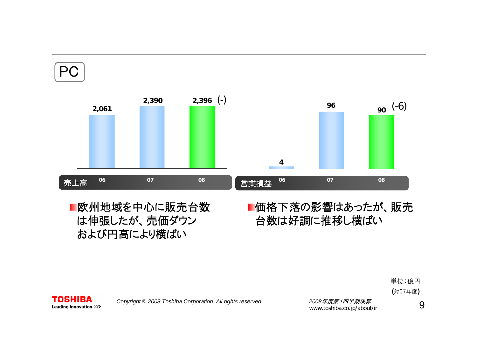

欧州地域を中心に販売台数 は伸張したが、売価ダウン および円高により横ばい

**TOSHIBA** 

## 台数は好調に推移し横ばい

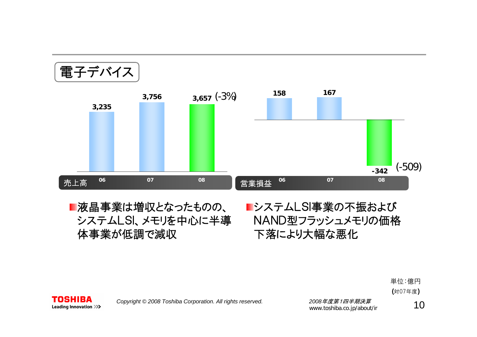

■液晶事業は増収となったものの、 システムLSI、メモリを中心に半導 体事業が低調で減収

システムLSI事業の不振および NAND型フラッシュメモリの価格 下落により大幅な悪化





*Copyright © <sup>2008</sup> Toshiba Corporation. All rights reserved. <sup>2008</sup>*年度第1四半期決算

2008年度第1四千<del>期次昇</del><br>www.toshiba.co.jp/about/ir 10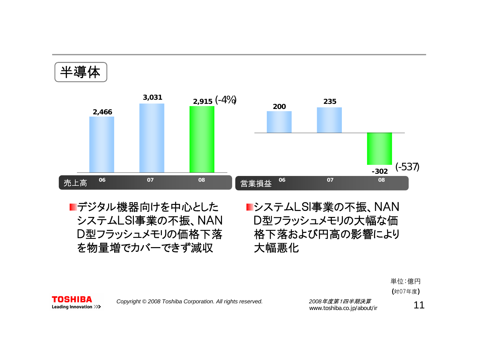半導体 (-4%) **2,915** (-537) 売上高 営業損益 **<sup>06</sup> <sup>07</sup> <sup>08</sup> <sup>06</sup> <sup>07</sup> <sup>08</sup> 3,031 2,466 -302200235**

■デジタル機器向けを中心とした システムLSI事業の不振、NAN D型フラッシュメモリの価格下落 を物量増でカバーできず減収

**TOSHIBA** Leading Innovation >>> システムLSI事業の不振、NAN D型フラッシュメモリの大幅な価 格下落および円高の影響により 大幅悪化



*Copyright © <sup>2008</sup> Toshiba Corporation. All rights reserved. <sup>2008</sup>*年度第1四半期決算

2008年度*弗 | 四千<del>明次昇</del>*<br>www.toshiba.co.jp/about/ir 11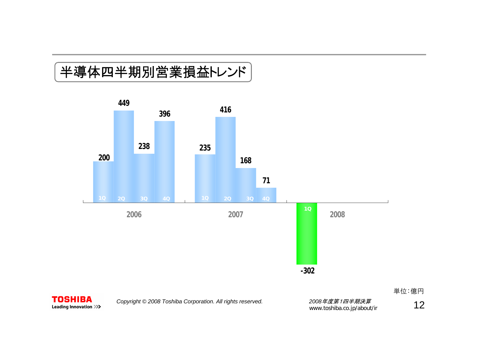### 半導体四半期別営業損益トレンド





**TOSHIBA** Leading Innovation >>>>

*Copyright © <sup>2008</sup> Toshiba Corporation. All rights reserved. <sup>2008</sup>*年度第1四半期決算 www.toshiba.co.jp/about/ir 12

単位:億円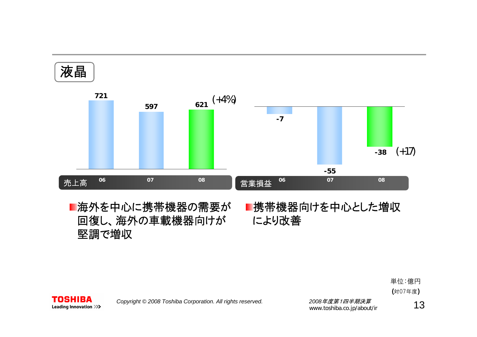

回復し、海外の車載機器向けが により改善 ■海外を中心に携帯機器の需要が 堅調で増収

# ■携帯機器向けを中心とした増収

単位:億円 (対07年度)



*Copyright © <sup>2008</sup> Toshiba Corporation. All rights reserved. <sup>2008</sup>*年度第1四半期決算

2008*年度第1四半期决算*<br>www.toshiba.co.jp/about/ir 13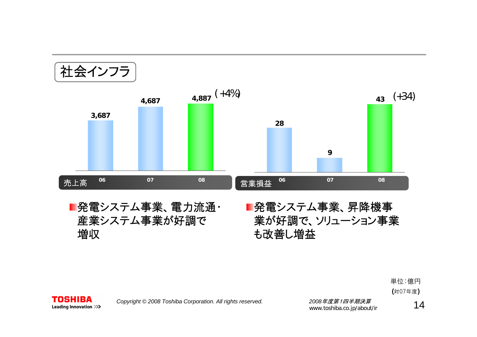



*Copyright © <sup>2008</sup> Toshiba Corporation. All rights reserved. <sup>2008</sup>*年度第1四半期決算

2008年度*弗 | 四千期决异*<br>www.toshiba.co.jp/about/ir 14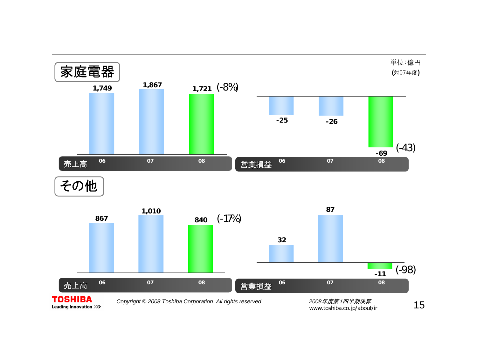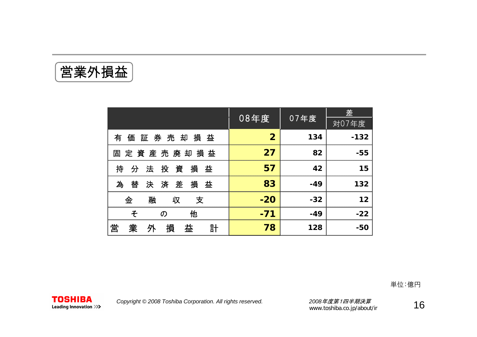営業外損益

|                                   |                |       | 差      |
|-----------------------------------|----------------|-------|--------|
|                                   | 08年度           | 07年度  | 対07年度  |
| 券 売<br>損<br>却<br>益<br>証<br>有<br>価 | $\overline{2}$ | 134   | $-132$ |
| 定資産売廃却<br>損 益<br>固                | 27             | 82    | $-55$  |
| 投資<br>損<br>持<br>法<br>益<br>分       | 57             | 42    | 15     |
| 為<br>済差<br>替<br>損<br>益<br>决       | 83             | $-49$ | 132    |
| 金<br>融<br>支<br>収                  | $-20$          | $-32$ | 12     |
| 他<br>そ<br>$\mathcal{D}$           | $-71$          | $-49$ | $-22$  |
| 業<br>営<br>損<br>益<br>計<br>外        | 78             | 128   | $-50$  |

単位:億円

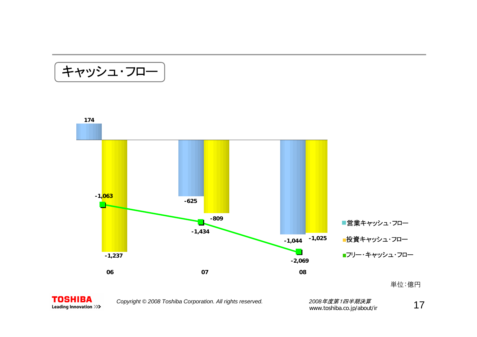キャッシュ・フロー





*Copyright © <sup>2008</sup> Toshiba Corporation. All rights reserved. <sup>2008</sup>*年度第1四半期決算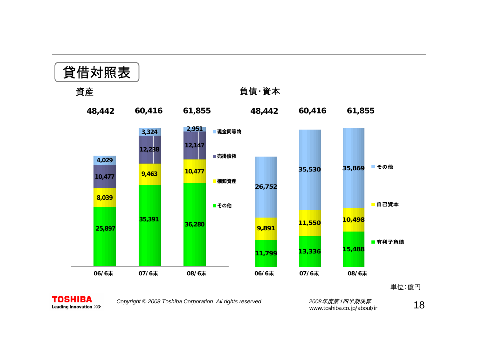

単位:億円



*Copyright © <sup>2008</sup> Toshiba Corporation. All rights reserved. <sup>2008</sup>*年度第1四半期決算

2*008年度第1四半期決算*<br>www.toshiba.co.jp/about/ir **1 8**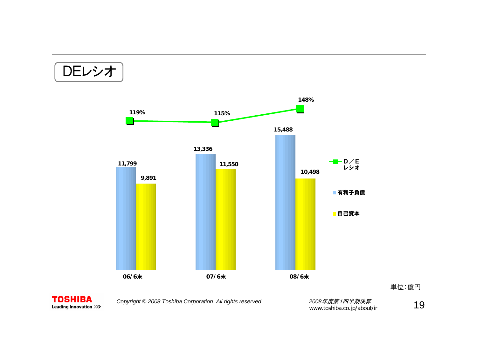DEレシオ





*Copyright © <sup>2008</sup> Toshiba Corporation. All rights reserved. <sup>2008</sup>*年度第1四半期決算

\_2*008年度第1四半期決算*<br>www.toshiba.co.jp/about/ir \_\_\_\_\_\_\_\_\_\_\_**\_\_19** 

単位:億円